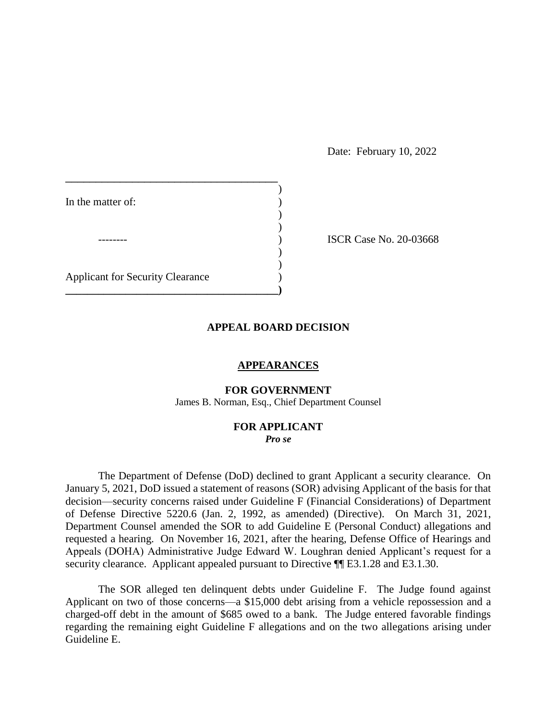Date: February 10, 2022

| In the matter of:                       |  |
|-----------------------------------------|--|
|                                         |  |
|                                         |  |
| <b>Applicant for Security Clearance</b> |  |
|                                         |  |

**ISCR Case No. 20-03668** 

### **APPEAL BOARD DECISION**

## **APPEARANCES**

# **FOR GOVERNMENT**

James B. Norman, Esq., Chief Department Counsel

### **FOR APPLICANT**  *Pro se*

 The Department of Defense (DoD) declined to grant Applicant a security clearance. On January 5, 2021, DoD issued a statement of reasons (SOR) advising Applicant of the basis for that decision⸺security concerns raised under Guideline F (Financial Considerations) of Department of Defense Directive 5220.6 (Jan. 2, 1992, as amended) (Directive). On March 31, 2021, requested a hearing. On November 16, 2021, after the hearing, Defense Office of Hearings and Appeals (DOHA) Administrative Judge Edward W. Loughran denied Applicant's request for a security clearance. Applicant appealed pursuant to Directive  $\P$ [E3.1.28 and E3.1.30. Department Counsel amended the SOR to add Guideline E (Personal Conduct) allegations and

 The SOR alleged ten delinquent debts under Guideline F. The Judge found against Applicant on two of those concerns—a \$15,000 debt arising from a vehicle repossession and a charged-off debt in the amount of \$685 owed to a bank. The Judge entered favorable findings regarding the remaining eight Guideline F allegations and on the two allegations arising under Guideline E.